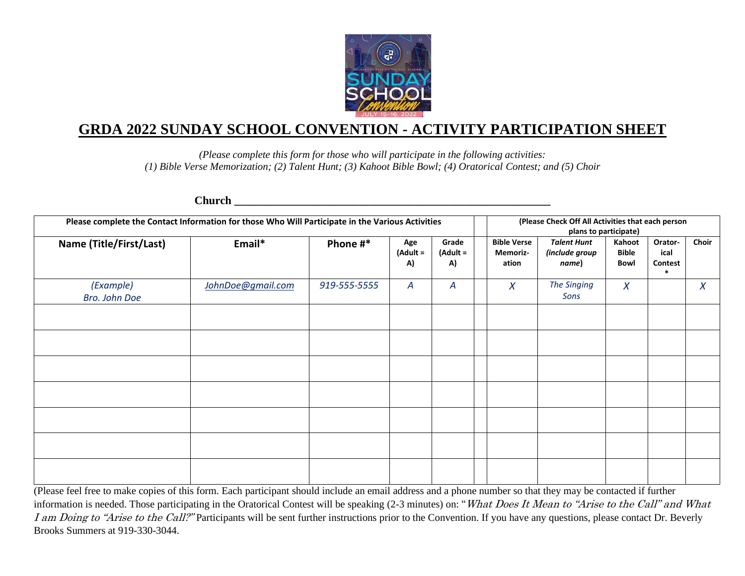

# **GRDA 2022 SUNDAY SCHOOL CONVENTION - ACTIVITY PARTICIPATION SHEET**

*(Please complete this form for those who will participate in the following activities: (1) Bible Verse Memorization; (2) Talent Hunt; (3) Kahoot Bible Bowl; (4) Oratorical Contest; and (5) Choir*

| Please complete the Contact Information for those Who Will Participate in the Various Activities |                   |              |                         |                            | (Please Check Off All Activities that each person<br>plans to participate) |                                               |                         |                                      |                  |  |
|--------------------------------------------------------------------------------------------------|-------------------|--------------|-------------------------|----------------------------|----------------------------------------------------------------------------|-----------------------------------------------|-------------------------|--------------------------------------|------------------|--|
| Name (Title/First/Last)                                                                          | Email*            | Phone #*     | Age<br>$(Adult =$<br>A) | Grade<br>$($ Adult =<br>A) | <b>Bible Verse</b><br>Memoriz-<br>ation                                    | <b>Talent Hunt</b><br>(include group<br>name) | Kahoot<br>Bible<br>Bowl | Orator-<br>ical<br>Contest<br>$\ast$ | Choir            |  |
| (Example)<br>Bro. John Doe                                                                       | JohnDoe@gmail.com | 919-555-5555 | A                       | $\boldsymbol{A}$           | $\boldsymbol{X}$                                                           | <b>The Singing</b><br>Sons                    | $\chi$                  |                                      | $\boldsymbol{X}$ |  |
|                                                                                                  |                   |              |                         |                            |                                                                            |                                               |                         |                                      |                  |  |
|                                                                                                  |                   |              |                         |                            |                                                                            |                                               |                         |                                      |                  |  |
|                                                                                                  |                   |              |                         |                            |                                                                            |                                               |                         |                                      |                  |  |
|                                                                                                  |                   |              |                         |                            |                                                                            |                                               |                         |                                      |                  |  |
|                                                                                                  |                   |              |                         |                            |                                                                            |                                               |                         |                                      |                  |  |
|                                                                                                  |                   |              |                         |                            |                                                                            |                                               |                         |                                      |                  |  |
|                                                                                                  |                   |              |                         |                            |                                                                            |                                               |                         |                                      |                  |  |

**Church \_\_\_\_\_\_\_\_\_\_\_\_\_\_\_\_\_\_\_\_\_\_\_\_\_\_\_\_\_\_\_\_\_\_\_\_\_\_\_\_\_\_\_\_\_\_\_\_\_\_\_\_\_\_\_\_**

(Please feel free to make copies of this form. Each participant should include an email address and a phone number so that they may be contacted if further information is needed. Those participating in the Oratorical Contest will be speaking (2-3 minutes) on: "What Does It Mean to "Arise to the Call" and What I am Doing to "Arise to the Call?" Participants will be sent further instructions prior to the Convention. If you have any questions, please contact Dr. Beverly Brooks Summers at 919-330-3044.